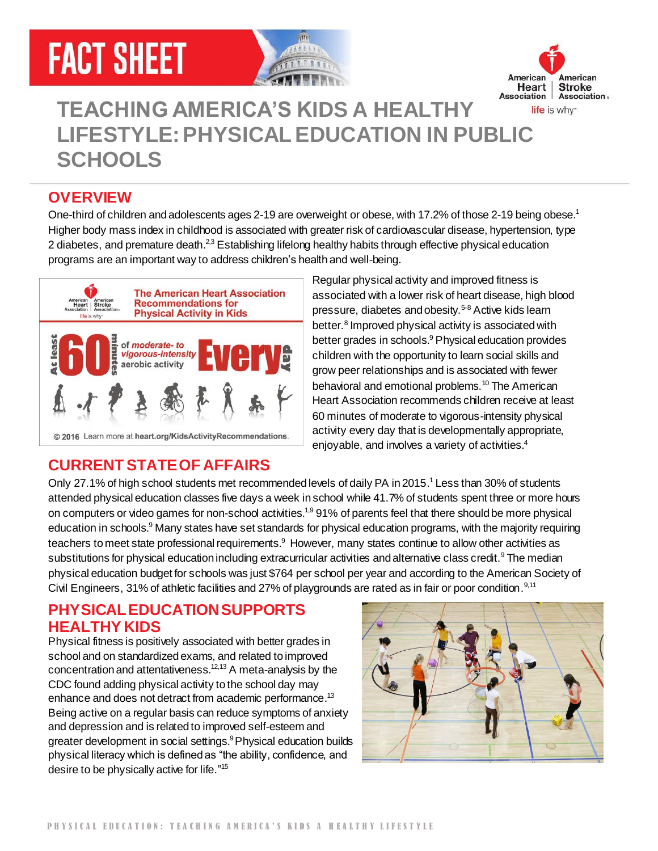# **FACT SHEET**





# **TEACHING AMERICA'S KIDS A HEALTHY LIFESTYLE: PHYSICAL EDUCATION IN PUBLIC SCHOOLS**

#### **OVERVIEW**

One-third of children and adolescents ages 2-19 are overweight or obese, with 17.2% of those 2-19 being obese.<sup>1</sup> Higher body mass index in childhood is associated with greater risk of cardiovascular disease, hypertension, type 2 diabetes, and premature death.<sup>2,3</sup> Establishing lifelong healthy habits through effective physical education programs are an important way to address children's health and well-being.



Regular physical activity and improved fitness is associated with a lower risk of heart disease, high blood pressure, diabetes and obesity.<sup>5-8</sup> Active kids learn better.<sup>8</sup> Improved physical activity is associated with better grades in schools. <sup>9</sup> Physical education provides children with the opportunity to learn social skills and grow peer relationships and is associated with fewer behavioral and emotional problems. <sup>10</sup> The American Heart Association recommends children receive at least 60 minutes of moderate to vigorous-intensity physical activity every day that is developmentally appropriate, enjoyable, and involves a variety of activities.<sup>4</sup>

### **CURRENT STATE OF AFFAIRS**

Only 27.1% of high school students met recommended levels of daily PA in 2015.<sup>1</sup> Less than 30% of students attended physical education classes five days a week in school while 41.7% of students spent three or more hours on computers or video games for non-school activities.<sup>1,9</sup> 91% of parents feel that there should be more physical education in schools.<sup>9</sup> Many states have set standards for physical education programs, with the majority requiring teachers to meet state professional requirements.<sup>9</sup> However, many states continue to allow other activities as substitutions for physical education including extracurricular activities and alternative class credit.<sup>9</sup> The median physical education budget for schools was just \$764 per school per year and according to the American Society of Civil Engineers, 31% of athletic facilities and 27% of playgrounds are rated as in fair or poor condition.<sup>9,11</sup>

#### **PHYSICAL EDUCATION SUPPORTS HEALTHY KIDS**

Physical fitness is positively associated with better grades in school and on standardized exams, and related to improved concentration and attentativeness. 12,13 A meta-analysis by the CDC found adding physical activity to the school day may enhance and does not detract from academic performance.<sup>13</sup> Being active on a regular basis can reduce symptoms of anxiety and depression and is related to improved self-esteem and greater development in social settings.<sup>9</sup> Physical education builds physical literacy which is defined as "the ability, confidence, and desire to be physically active for life."<sup>15</sup>